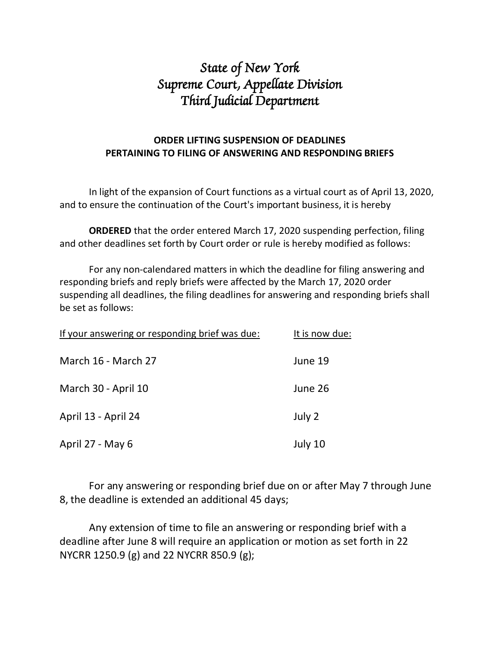## State of New York Supreme Court, Appellate Division<br>Third Judicial Department

## ORDER LIFTING SUSPENSION OF DEADLINES PERTAINING TO FILING OF ANSWERING AND RESPONDING BRIEFS

In light of the expansion of Court functions as a virtual court as of April 13, 2020, and to ensure the continuation of the Court's important business, it is hereby

ORDERED that the order entered March 17, 2020 suspending perfection, filing and other deadlines set forth by Court order or rule is hereby modified as follows:

For any non-calendared matters in which the deadline for filing answering and responding briefs and reply briefs were affected by the March 17, 2020 order suspending all deadlines, the filing deadlines for answering and responding briefs shall be set as follows:

| If your answering or responding brief was due: | It is now due: |
|------------------------------------------------|----------------|
| March 16 - March 27                            | June 19        |
| March 30 - April 10                            | June 26        |
| April 13 - April 24                            | July 2         |
| April 27 - May 6                               | July 10        |

For any answering or responding brief due on or after May 7 through June 8, the deadline is extended an additional 45 days;

Any extension of time to file an answering or responding brief with a deadline after June 8 will require an application or motion as set forth in 22 NYCRR 1250.9 (g) and 22 NYCRR 850.9 (g);